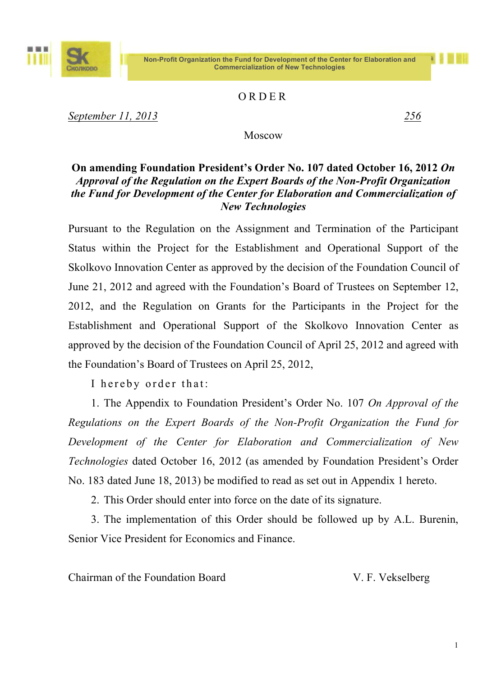#### **Non-Profit Organization the Fund for Development of the Center for Elaboration and Commercialization of New Technologies**



*September 11, 2013 256*

Ш

#### Moscow

#### **On amending Foundation President's Order No. 107 dated October 16, 2012** *On Approval of the Regulation on the Expert Boards of the Non-Profit Organization the Fund for Development of the Center for Elaboration and Commercialization of New Technologies*

Pursuant to the Regulation on the Assignment and Termination of the Participant Status within the Project for the Establishment and Operational Support of the Skolkovo Innovation Center as approved by the decision of the Foundation Council of June 21, 2012 and agreed with the Foundation's Board of Trustees on September 12, 2012, and the Regulation on Grants for the Participants in the Project for the Establishment and Operational Support of the Skolkovo Innovation Center as approved by the decision of the Foundation Council of April 25, 2012 and agreed with the Foundation's Board of Trustees on April 25, 2012,

I hereby order that:

1. The Appendix to Foundation President's Order No. 107 *On Approval of the Regulations on the Expert Boards of the Non-Profit Organization the Fund for Development of the Center for Elaboration and Commercialization of New Technologies* dated October 16, 2012 (as amended by Foundation President's Order No. 183 dated June 18, 2013) be modified to read as set out in Appendix 1 hereto.

2. This Order should enter into force on the date of its signature.

3. The implementation of this Order should be followed up by A.L. Burenin, Senior Vice President for Economics and Finance.

Chairman of the Foundation Board V. F. Vekselberg

1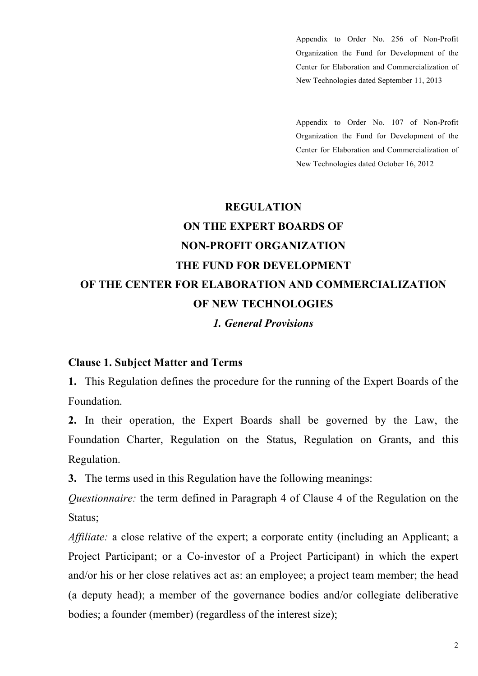Appendix to Order No. 256 of Non-Profit Organization the Fund for Development of the Center for Elaboration and Commercialization of New Technologies dated September 11, 2013

Appendix to Order No. 107 of Non-Profit Organization the Fund for Development of the Center for Elaboration and Commercialization of New Technologies dated October 16, 2012

# **REGULATION ON THE EXPERT BOARDS OF NON-PROFIT ORGANIZATION THE FUND FOR DEVELOPMENT OF THE CENTER FOR ELABORATION AND COMMERCIALIZATION OF NEW TECHNOLOGIES** *1. General Provisions*

#### **Clause 1. Subject Matter and Terms**

**1.** This Regulation defines the procedure for the running of the Expert Boards of the Foundation.

**2.** In their operation, the Expert Boards shall be governed by the Law, the Foundation Charter, Regulation on the Status, Regulation on Grants, and this Regulation.

**3.** The terms used in this Regulation have the following meanings:

*Questionnaire:* the term defined in Paragraph 4 of Clause 4 of the Regulation on the Status;

*Affiliate:* a close relative of the expert; a corporate entity (including an Applicant; a Project Participant; or a Co-investor of a Project Participant) in which the expert and/or his or her close relatives act as: an employee; a project team member; the head (a deputy head); a member of the governance bodies and/or collegiate deliberative bodies; a founder (member) (regardless of the interest size);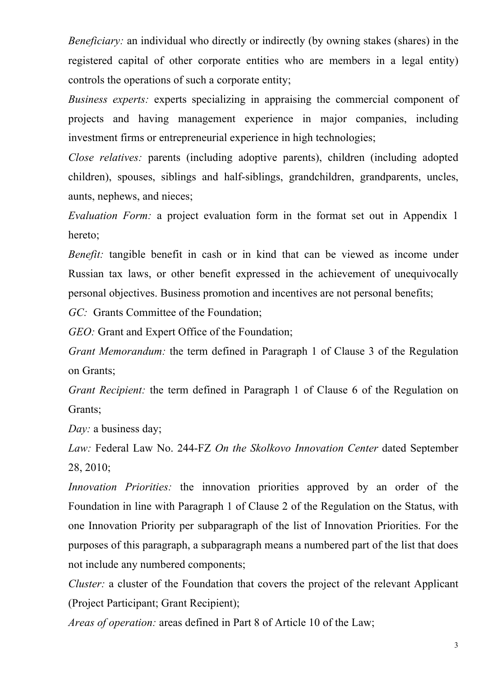*Beneficiary:* an individual who directly or indirectly (by owning stakes (shares) in the registered capital of other corporate entities who are members in a legal entity) controls the operations of such a corporate entity;

*Business experts:* experts specializing in appraising the commercial component of projects and having management experience in major companies, including investment firms or entrepreneurial experience in high technologies;

*Close relatives:* parents (including adoptive parents), children (including adopted children), spouses, siblings and half-siblings, grandchildren, grandparents, uncles, aunts, nephews, and nieces;

*Evaluation Form:* a project evaluation form in the format set out in Appendix 1 hereto;

*Benefit:* tangible benefit in cash or in kind that can be viewed as income under Russian tax laws, or other benefit expressed in the achievement of unequivocally personal objectives. Business promotion and incentives are not personal benefits;

*GC:* Grants Committee of the Foundation:

*GEO:* Grant and Expert Office of the Foundation;

*Grant Memorandum:* the term defined in Paragraph 1 of Clause 3 of the Regulation on Grants;

*Grant Recipient:* the term defined in Paragraph 1 of Clause 6 of the Regulation on Grants;

*Day:* a business day;

*Law:* Federal Law No. 244-FZ *On the Skolkovo Innovation Center* dated September 28, 2010;

*Innovation Priorities:* the innovation priorities approved by an order of the Foundation in line with Paragraph 1 of Clause 2 of the Regulation on the Status, with one Innovation Priority per subparagraph of the list of Innovation Priorities. For the purposes of this paragraph, a subparagraph means a numbered part of the list that does not include any numbered components;

*Cluster*: a cluster of the Foundation that covers the project of the relevant Applicant (Project Participant; Grant Recipient);

*Areas of operation:* areas defined in Part 8 of Article 10 of the Law;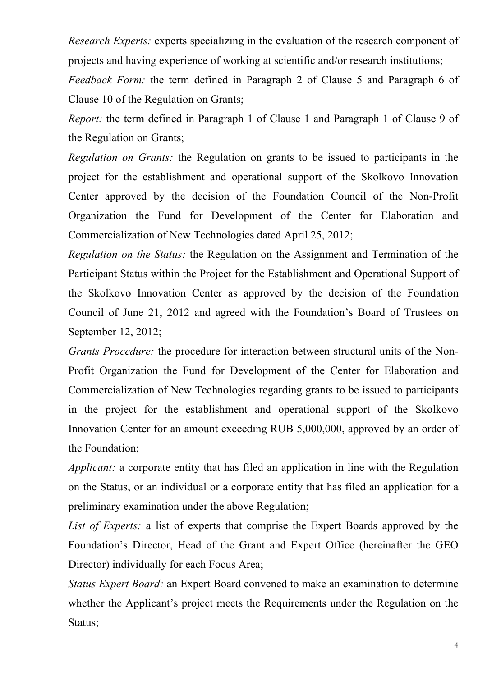*Research Experts:* experts specializing in the evaluation of the research component of projects and having experience of working at scientific and/or research institutions;

*Feedback Form:* the term defined in Paragraph 2 of Clause 5 and Paragraph 6 of Clause 10 of the Regulation on Grants;

*Report:* the term defined in Paragraph 1 of Clause 1 and Paragraph 1 of Clause 9 of the Regulation on Grants;

*Regulation on Grants:* the Regulation on grants to be issued to participants in the project for the establishment and operational support of the Skolkovo Innovation Center approved by the decision of the Foundation Council of the Non-Profit Organization the Fund for Development of the Center for Elaboration and Commercialization of New Technologies dated April 25, 2012;

*Regulation on the Status:* the Regulation on the Assignment and Termination of the Participant Status within the Project for the Establishment and Operational Support of the Skolkovo Innovation Center as approved by the decision of the Foundation Council of June 21, 2012 and agreed with the Foundation's Board of Trustees on September 12, 2012;

*Grants Procedure:* the procedure for interaction between structural units of the Non-Profit Organization the Fund for Development of the Center for Elaboration and Commercialization of New Technologies regarding grants to be issued to participants in the project for the establishment and operational support of the Skolkovo Innovation Center for an amount exceeding RUB 5,000,000, approved by an order of the Foundation;

*Applicant:* a corporate entity that has filed an application in line with the Regulation on the Status, or an individual or a corporate entity that has filed an application for a preliminary examination under the above Regulation;

*List of Experts:* a list of experts that comprise the Expert Boards approved by the Foundation's Director, Head of the Grant and Expert Office (hereinafter the GEO Director) individually for each Focus Area;

*Status Expert Board:* an Expert Board convened to make an examination to determine whether the Applicant's project meets the Requirements under the Regulation on the Status;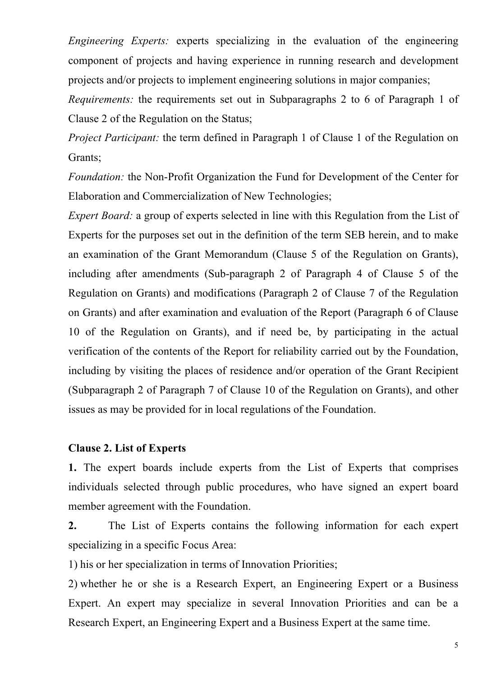*Engineering Experts:* experts specializing in the evaluation of the engineering component of projects and having experience in running research and development projects and/or projects to implement engineering solutions in major companies;

*Requirements:* the requirements set out in Subparagraphs 2 to 6 of Paragraph 1 of Clause 2 of the Regulation on the Status;

*Project Participant:* the term defined in Paragraph 1 of Clause 1 of the Regulation on Grants;

*Foundation:* the Non-Profit Organization the Fund for Development of the Center for Elaboration and Commercialization of New Technologies;

*Expert Board:* a group of experts selected in line with this Regulation from the List of Experts for the purposes set out in the definition of the term SEB herein, and to make an examination of the Grant Memorandum (Clause 5 of the Regulation on Grants), including after amendments (Sub-paragraph 2 of Paragraph 4 of Clause 5 of the Regulation on Grants) and modifications (Paragraph 2 of Clause 7 of the Regulation on Grants) and after examination and evaluation of the Report (Paragraph 6 of Clause 10 of the Regulation on Grants), and if need be, by participating in the actual verification of the contents of the Report for reliability carried out by the Foundation, including by visiting the places of residence and/or operation of the Grant Recipient (Subparagraph 2 of Paragraph 7 of Clause 10 of the Regulation on Grants), and other issues as may be provided for in local regulations of the Foundation.

#### **Clause 2. List of Experts**

**1.** The expert boards include experts from the List of Experts that comprises individuals selected through public procedures, who have signed an expert board member agreement with the Foundation.

**2.** The List of Experts contains the following information for each expert specializing in a specific Focus Area:

1) his or her specialization in terms of Innovation Priorities;

2) whether he or she is a Research Expert, an Engineering Expert or a Business Expert. An expert may specialize in several Innovation Priorities and can be a Research Expert, an Engineering Expert and a Business Expert at the same time.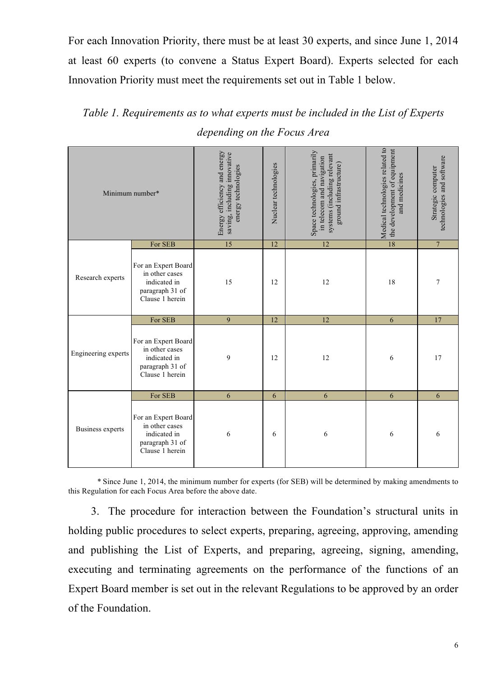For each Innovation Priority, there must be at least 30 experts, and since June 1, 2014 at least 60 experts (to convene a Status Expert Board). Experts selected for each Innovation Priority must meet the requirements set out in Table 1 below.

*Table 1. Requirements as to what experts must be included in the List of Experts depending on the Focus Area*

| Minimum number*     |                                                                                             | Energy efficiency and energy<br>saving, including innovative<br>energy technologies | Nuclear technologies | Space technologies, primarily<br>systems (including relevant<br>in telecom and navigation<br>ground infrastructure) | Medical technologies related to<br>the development of equipment<br>and medicines | technologies and software<br>Strategic computer |
|---------------------|---------------------------------------------------------------------------------------------|-------------------------------------------------------------------------------------|----------------------|---------------------------------------------------------------------------------------------------------------------|----------------------------------------------------------------------------------|-------------------------------------------------|
|                     | For SEB                                                                                     | $\overline{15}$                                                                     | 12                   | 12                                                                                                                  | $\overline{18}$                                                                  | $\overline{7}$                                  |
| Research experts    | For an Expert Board<br>in other cases<br>indicated in<br>paragraph 31 of<br>Clause 1 herein | 15                                                                                  | 12                   | 12                                                                                                                  | 18                                                                               | 7                                               |
| Engineering experts | For SEB                                                                                     | 9                                                                                   | 12                   | 12                                                                                                                  | 6                                                                                | 17                                              |
|                     | For an Expert Board<br>in other cases<br>indicated in<br>paragraph 31 of<br>Clause 1 herein | 9                                                                                   | 12                   | 12                                                                                                                  | 6                                                                                | 17                                              |
| Business experts    | For SEB                                                                                     | 6                                                                                   | 6                    | 6                                                                                                                   | 6                                                                                | 6                                               |
|                     | For an Expert Board<br>in other cases<br>indicated in<br>paragraph 31 of<br>Clause 1 herein | 6                                                                                   | 6                    | 6                                                                                                                   | 6                                                                                | 6                                               |

*\** Since June 1, 2014, the minimum number for experts (for SEB) will be determined by making amendments to this Regulation for each Focus Area before the above date.

3. The procedure for interaction between the Foundation's structural units in holding public procedures to select experts, preparing, agreeing, approving, amending and publishing the List of Experts, and preparing, agreeing, signing, amending, executing and terminating agreements on the performance of the functions of an Expert Board member is set out in the relevant Regulations to be approved by an order of the Foundation.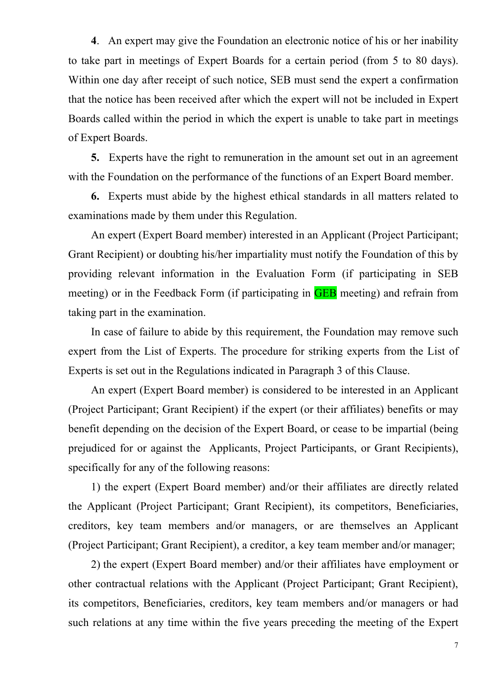**4**. An expert may give the Foundation an electronic notice of his or her inability to take part in meetings of Expert Boards for a certain period (from 5 to 80 days). Within one day after receipt of such notice, SEB must send the expert a confirmation that the notice has been received after which the expert will not be included in Expert Boards called within the period in which the expert is unable to take part in meetings of Expert Boards.

**5.** Experts have the right to remuneration in the amount set out in an agreement with the Foundation on the performance of the functions of an Expert Board member.

**6.** Experts must abide by the highest ethical standards in all matters related to examinations made by them under this Regulation.

An expert (Expert Board member) interested in an Applicant (Project Participant; Grant Recipient) or doubting his/her impartiality must notify the Foundation of this by providing relevant information in the Evaluation Form (if participating in SEB meeting) or in the Feedback Form (if participating in **GEB** meeting) and refrain from taking part in the examination.

In case of failure to abide by this requirement, the Foundation may remove such expert from the List of Experts. The procedure for striking experts from the List of Experts is set out in the Regulations indicated in Paragraph 3 of this Clause.

An expert (Expert Board member) is considered to be interested in an Applicant (Project Participant; Grant Recipient) if the expert (or their affiliates) benefits or may benefit depending on the decision of the Expert Board, or cease to be impartial (being prejudiced for or against the Applicants, Project Participants, or Grant Recipients), specifically for any of the following reasons:

1) the expert (Expert Board member) and/or their affiliates are directly related the Applicant (Project Participant; Grant Recipient), its competitors, Beneficiaries, creditors, key team members and/or managers, or are themselves an Applicant (Project Participant; Grant Recipient), a creditor, a key team member and/or manager;

2) the expert (Expert Board member) and/or their affiliates have employment or other contractual relations with the Applicant (Project Participant; Grant Recipient), its competitors, Beneficiaries, creditors, key team members and/or managers or had such relations at any time within the five years preceding the meeting of the Expert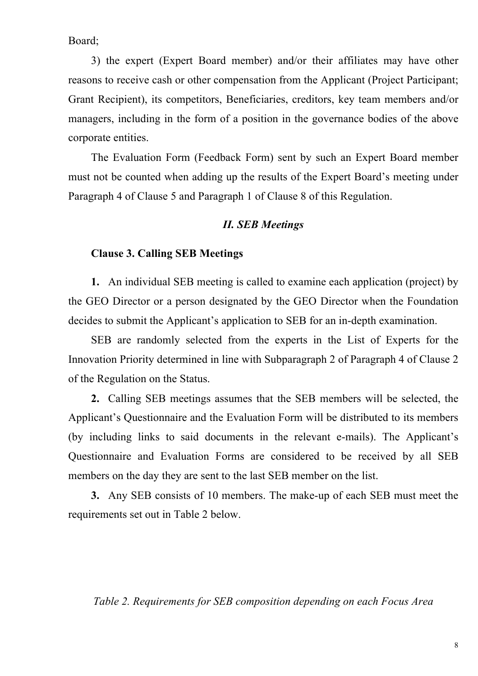Board;

3) the expert (Expert Board member) and/or their affiliates may have other reasons to receive cash or other compensation from the Applicant (Project Participant; Grant Recipient), its competitors, Beneficiaries, creditors, key team members and/or managers, including in the form of a position in the governance bodies of the above corporate entities.

The Evaluation Form (Feedback Form) sent by such an Expert Board member must not be counted when adding up the results of the Expert Board's meeting under Paragraph 4 of Clause 5 and Paragraph 1 of Clause 8 of this Regulation.

#### *II. SEB Meetings*

#### **Clause 3. Calling SEB Meetings**

**1.** An individual SEB meeting is called to examine each application (project) by the GEO Director or a person designated by the GEO Director when the Foundation decides to submit the Applicant's application to SEB for an in-depth examination.

SEB are randomly selected from the experts in the List of Experts for the Innovation Priority determined in line with Subparagraph 2 of Paragraph 4 of Clause 2 of the Regulation on the Status.

**2.** Calling SEB meetings assumes that the SEB members will be selected, the Applicant's Questionnaire and the Evaluation Form will be distributed to its members (by including links to said documents in the relevant e-mails). The Applicant's Questionnaire and Evaluation Forms are considered to be received by all SEB members on the day they are sent to the last SEB member on the list.

**3.** Any SEB consists of 10 members. The make-up of each SEB must meet the requirements set out in Table 2 below.

#### *Table 2. Requirements for SEB composition depending on each Focus Area*

8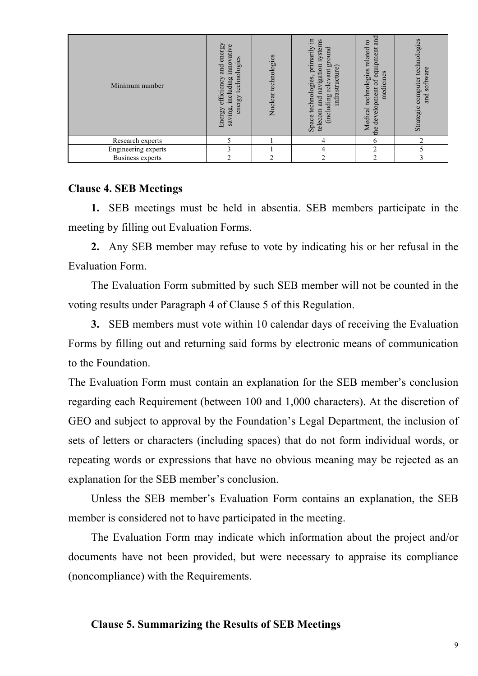| Minimum number      | energy<br>vative<br>technologies<br>inno <sup>-</sup><br>and<br>uding<br>efficiency<br>$rac{1}{2}$<br>energy<br>saving,<br>Energy | Nuclear technologies | щ.<br>and navigation systems<br>primarily<br>ground<br>infrastructure)<br>relevant<br>Space technologies<br>(including<br>telecom | and<br>$\overline{S}$<br>equipment<br>related<br>Medical technologies<br>medicines<br>$\sigma$<br>development<br>the | computer technologies<br>software<br>and<br>Strategic |
|---------------------|-----------------------------------------------------------------------------------------------------------------------------------|----------------------|-----------------------------------------------------------------------------------------------------------------------------------|----------------------------------------------------------------------------------------------------------------------|-------------------------------------------------------|
| Research experts    |                                                                                                                                   |                      | 4                                                                                                                                 | 6                                                                                                                    | ◠                                                     |
| Engineering experts | $\mathcal{E}$                                                                                                                     |                      | 4                                                                                                                                 | $\overline{2}$                                                                                                       |                                                       |
| Business experts    | $\overline{c}$                                                                                                                    | C                    | 2                                                                                                                                 | $\overline{2}$                                                                                                       | 3                                                     |

#### **Clause 4. SEB Meetings**

**1.** SEB meetings must be held in absentia. SEB members participate in the meeting by filling out Evaluation Forms.

**2.** Any SEB member may refuse to vote by indicating his or her refusal in the Evaluation Form.

The Evaluation Form submitted by such SEB member will not be counted in the voting results under Paragraph 4 of Clause 5 of this Regulation.

**3.** SEB members must vote within 10 calendar days of receiving the Evaluation Forms by filling out and returning said forms by electronic means of communication to the Foundation.

The Evaluation Form must contain an explanation for the SEB member's conclusion regarding each Requirement (between 100 and 1,000 characters). At the discretion of GEO and subject to approval by the Foundation's Legal Department, the inclusion of sets of letters or characters (including spaces) that do not form individual words, or repeating words or expressions that have no obvious meaning may be rejected as an explanation for the SEB member's conclusion.

Unless the SEB member's Evaluation Form contains an explanation, the SEB member is considered not to have participated in the meeting.

The Evaluation Form may indicate which information about the project and/or documents have not been provided, but were necessary to appraise its compliance (noncompliance) with the Requirements.

#### **Clause 5. Summarizing the Results of SEB Meetings**

9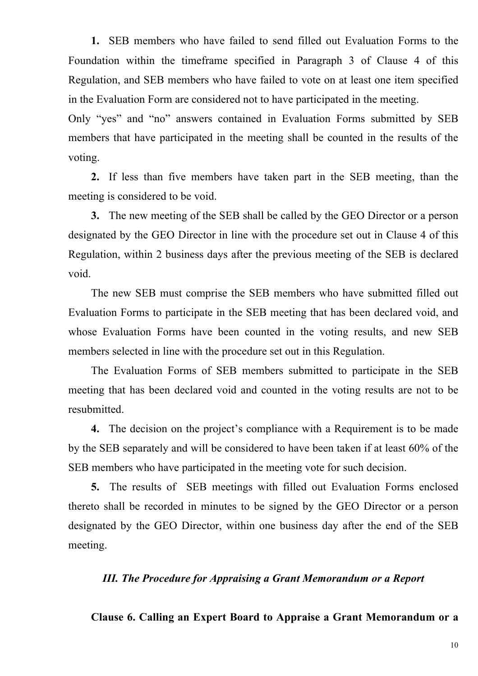**1.** SEB members who have failed to send filled out Evaluation Forms to the Foundation within the timeframe specified in Paragraph 3 of Clause 4 of this Regulation, and SEB members who have failed to vote on at least one item specified in the Evaluation Form are considered not to have participated in the meeting.

Only "yes" and "no" answers contained in Evaluation Forms submitted by SEB members that have participated in the meeting shall be counted in the results of the voting.

**2.** If less than five members have taken part in the SEB meeting, than the meeting is considered to be void.

**3.** The new meeting of the SEB shall be called by the GEO Director or a person designated by the GEO Director in line with the procedure set out in Clause 4 of this Regulation, within 2 business days after the previous meeting of the SEB is declared void.

The new SEB must comprise the SEB members who have submitted filled out Evaluation Forms to participate in the SEB meeting that has been declared void, and whose Evaluation Forms have been counted in the voting results, and new SEB members selected in line with the procedure set out in this Regulation.

The Evaluation Forms of SEB members submitted to participate in the SEB meeting that has been declared void and counted in the voting results are not to be **resubmitted** 

**4.** The decision on the project's compliance with a Requirement is to be made by the SEB separately and will be considered to have been taken if at least 60% of the SEB members who have participated in the meeting vote for such decision.

**5.** The results of SEB meetings with filled out Evaluation Forms enclosed thereto shall be recorded in minutes to be signed by the GEO Director or a person designated by the GEO Director, within one business day after the end of the SEB meeting.

#### *III. The Procedure for Appraising a Grant Memorandum or a Report*

**Clause 6. Calling an Expert Board to Appraise a Grant Memorandum or a**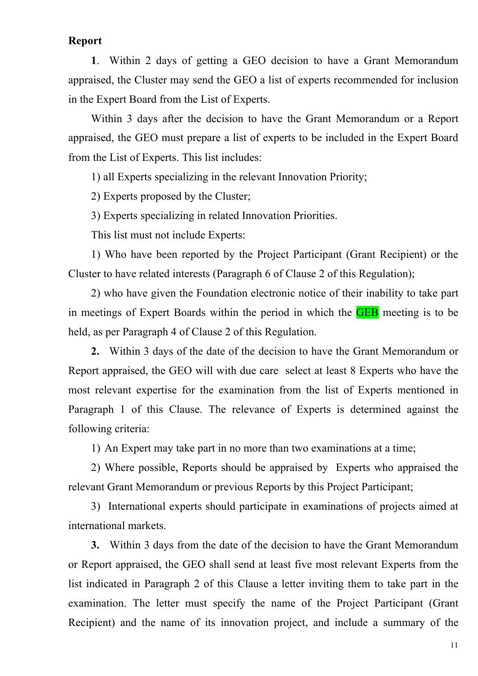#### **Report**

**1**. Within 2 days of getting a GEO decision to have a Grant Memorandum appraised, the Cluster may send the GEO a list of experts recommended for inclusion in the Expert Board from the List of Experts.

Within 3 days after the decision to have the Grant Memorandum or a Report appraised, the GEO must prepare a list of experts to be included in the Expert Board from the List of Experts. This list includes:

1) all Experts specializing in the relevant Innovation Priority;

2) Experts proposed by the Cluster;

3) Experts specializing in related Innovation Priorities.

This list must not include Experts:

1) Who have been reported by the Project Participant (Grant Recipient) or the Cluster to have related interests (Paragraph 6 of Clause 2 of this Regulation);

2) who have given the Foundation electronic notice of their inability to take part in meetings of Expert Boards within the period in which the **GEB** meeting is to be held, as per Paragraph 4 of Clause 2 of this Regulation.

**2.** Within 3 days of the date of the decision to have the Grant Memorandum or Report appraised, the GEO will with due care select at least 8 Experts who have the most relevant expertise for the examination from the list of Experts mentioned in Paragraph 1 of this Clause. The relevance of Experts is determined against the following criteria:

1) An Expert may take part in no more than two examinations at a time;

2) Where possible, Reports should be appraised by Experts who appraised the relevant Grant Memorandum or previous Reports by this Project Participant;

3) International experts should participate in examinations of projects aimed at international markets.

**3.** Within 3 days from the date of the decision to have the Grant Memorandum or Report appraised, the GEO shall send at least five most relevant Experts from the list indicated in Paragraph 2 of this Clause a letter inviting them to take part in the examination. The letter must specify the name of the Project Participant (Grant Recipient) and the name of its innovation project, and include a summary of the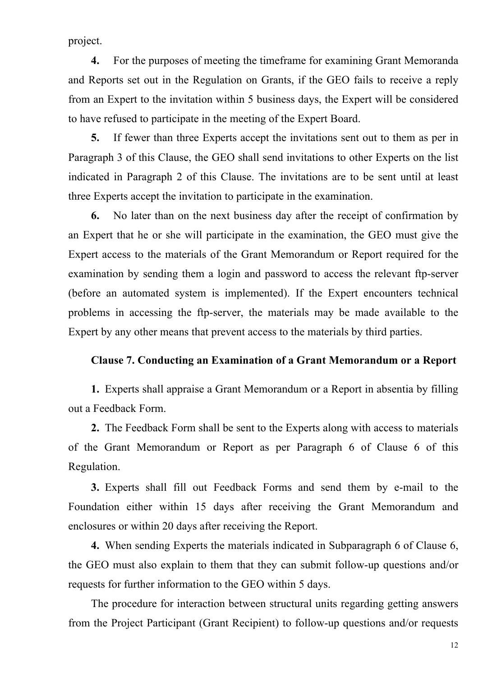project.

**4.** For the purposes of meeting the timeframe for examining Grant Memoranda and Reports set out in the Regulation on Grants, if the GEO fails to receive a reply from an Expert to the invitation within 5 business days, the Expert will be considered to have refused to participate in the meeting of the Expert Board.

**5.** If fewer than three Experts accept the invitations sent out to them as per in Paragraph 3 of this Clause, the GEO shall send invitations to other Experts on the list indicated in Paragraph 2 of this Clause. The invitations are to be sent until at least three Experts accept the invitation to participate in the examination.

**6.** No later than on the next business day after the receipt of confirmation by an Expert that he or she will participate in the examination, the GEO must give the Expert access to the materials of the Grant Memorandum or Report required for the examination by sending them a login and password to access the relevant ftp-server (before an automated system is implemented). If the Expert encounters technical problems in accessing the ftp-server, the materials may be made available to the Expert by any other means that prevent access to the materials by third parties.

#### **Clause 7. Conducting an Examination of a Grant Memorandum or a Report**

**1.** Experts shall appraise a Grant Memorandum or a Report in absentia by filling out a Feedback Form.

**2.** The Feedback Form shall be sent to the Experts along with access to materials of the Grant Memorandum or Report as per Paragraph 6 of Clause 6 of this Regulation.

**3.** Experts shall fill out Feedback Forms and send them by e-mail to the Foundation either within 15 days after receiving the Grant Memorandum and enclosures or within 20 days after receiving the Report.

**4.** When sending Experts the materials indicated in Subparagraph 6 of Clause 6, the GEO must also explain to them that they can submit follow-up questions and/or requests for further information to the GEO within 5 days.

The procedure for interaction between structural units regarding getting answers from the Project Participant (Grant Recipient) to follow-up questions and/or requests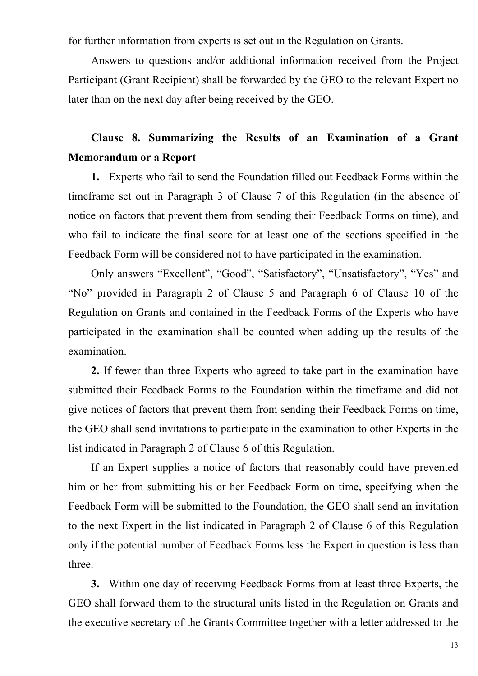for further information from experts is set out in the Regulation on Grants.

Answers to questions and/or additional information received from the Project Participant (Grant Recipient) shall be forwarded by the GEO to the relevant Expert no later than on the next day after being received by the GEO.

### **Clause 8. Summarizing the Results of an Examination of a Grant Memorandum or a Report**

**1.** Experts who fail to send the Foundation filled out Feedback Forms within the timeframe set out in Paragraph 3 of Clause 7 of this Regulation (in the absence of notice on factors that prevent them from sending their Feedback Forms on time), and who fail to indicate the final score for at least one of the sections specified in the Feedback Form will be considered not to have participated in the examination.

Only answers "Excellent", "Good", "Satisfactory", "Unsatisfactory", "Yes" and "No" provided in Paragraph 2 of Clause 5 and Paragraph 6 of Clause 10 of the Regulation on Grants and contained in the Feedback Forms of the Experts who have participated in the examination shall be counted when adding up the results of the examination.

**2.** If fewer than three Experts who agreed to take part in the examination have submitted their Feedback Forms to the Foundation within the timeframe and did not give notices of factors that prevent them from sending their Feedback Forms on time, the GEO shall send invitations to participate in the examination to other Experts in the list indicated in Paragraph 2 of Clause 6 of this Regulation.

If an Expert supplies a notice of factors that reasonably could have prevented him or her from submitting his or her Feedback Form on time, specifying when the Feedback Form will be submitted to the Foundation, the GEO shall send an invitation to the next Expert in the list indicated in Paragraph 2 of Clause 6 of this Regulation only if the potential number of Feedback Forms less the Expert in question is less than three.

**3.** Within one day of receiving Feedback Forms from at least three Experts, the GEO shall forward them to the structural units listed in the Regulation on Grants and the executive secretary of the Grants Committee together with a letter addressed to the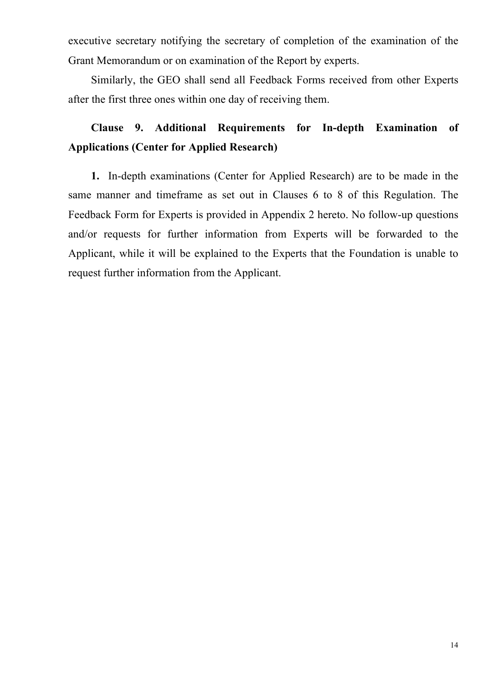executive secretary notifying the secretary of completion of the examination of the Grant Memorandum or on examination of the Report by experts.

Similarly, the GEO shall send all Feedback Forms received from other Experts after the first three ones within one day of receiving them.

## **Clause 9. Additional Requirements for In-depth Examination of Applications (Center for Applied Research)**

**1.** In-depth examinations (Center for Applied Research) are to be made in the same manner and timeframe as set out in Clauses 6 to 8 of this Regulation. The Feedback Form for Experts is provided in Appendix 2 hereto. No follow-up questions and/or requests for further information from Experts will be forwarded to the Applicant, while it will be explained to the Experts that the Foundation is unable to request further information from the Applicant.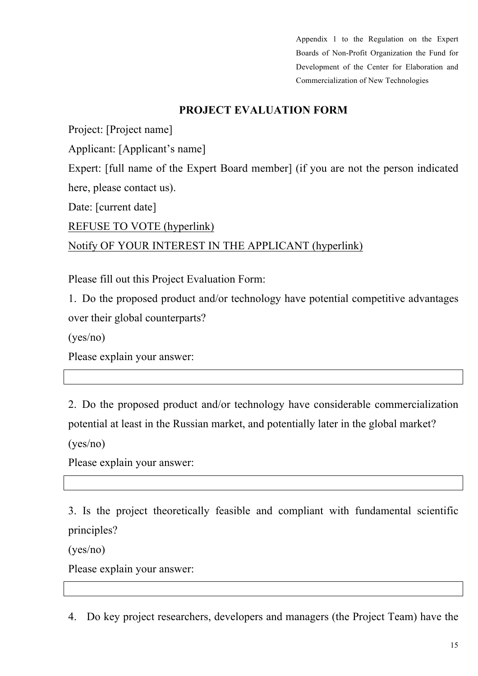Appendix 1 to the Regulation on the Expert Boards of Non-Profit Organization the Fund for Development of the Center for Elaboration and Commercialization of New Technologies

### **PROJECT EVALUATION FORM**

Project: [Project name]

Applicant: [Applicant's name]

Expert: [full name of the Expert Board member] (if you are not the person indicated here, please contact us).

Date: [current date]

REFUSE TO VOTE (hyperlink)

### Notify OF YOUR INTEREST IN THE APPLICANT (hyperlink)

Please fill out this Project Evaluation Form:

1. Do the proposed product and/or technology have potential competitive advantages over their global counterparts?

(yes/no)

Please explain your answer:

2. Do the proposed product and/or technology have considerable commercialization potential at least in the Russian market, and potentially later in the global market?

(yes/no)

Please explain your answer:

3. Is the project theoretically feasible and compliant with fundamental scientific principles?

(yes/no)

Please explain your answer:

4. Do key project researchers, developers and managers (the Project Team) have the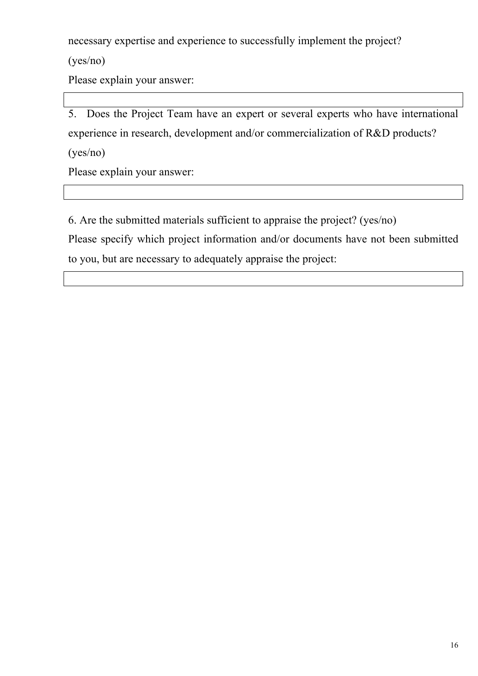necessary expertise and experience to successfully implement the project?

(yes/no)

Please explain your answer:

5. Does the Project Team have an expert or several experts who have international experience in research, development and/or commercialization of R&D products? (yes/no)

Please explain your answer:

6. Are the submitted materials sufficient to appraise the project? (yes/no)

Please specify which project information and/or documents have not been submitted to you, but are necessary to adequately appraise the project: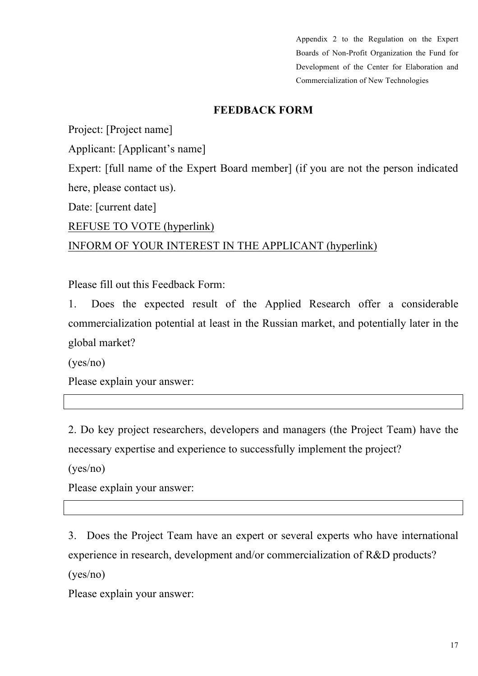Appendix 2 to the Regulation on the Expert Boards of Non-Profit Organization the Fund for Development of the Center for Elaboration and Commercialization of New Technologies

### **FEEDBACK FORM**

Project: [Project name]

Applicant: [Applicant's name]

Expert: [full name of the Expert Board member] (if you are not the person indicated here, please contact us).

Date: [current date]

REFUSE TO VOTE (hyperlink)

### INFORM OF YOUR INTEREST IN THE APPLICANT (hyperlink)

Please fill out this Feedback Form:

1. Does the expected result of the Applied Research offer a considerable commercialization potential at least in the Russian market, and potentially later in the global market?

(yes/no)

Please explain your answer:

2. Do key project researchers, developers and managers (the Project Team) have the necessary expertise and experience to successfully implement the project?

(yes/no)

Please explain your answer:

3. Does the Project Team have an expert or several experts who have international experience in research, development and/or commercialization of R&D products? (yes/no)

Please explain your answer: